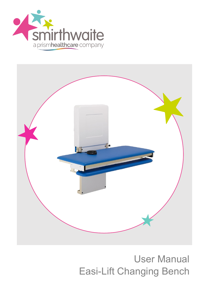



# User Manual Easi-Lift Changing Bench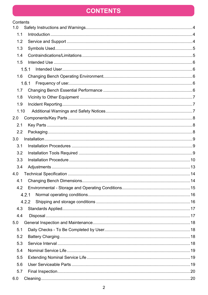#### **CONTENTS**

| Contents |       |  |
|----------|-------|--|
| 1.0      |       |  |
| 1.1      |       |  |
| 1.2      |       |  |
| 1.3      |       |  |
| 1.4      |       |  |
| 1.5      |       |  |
|          | 1.5.1 |  |
| 1.6      |       |  |
|          | 1.6.1 |  |
| 1.7      |       |  |
| 1.8      |       |  |
| 1.9      |       |  |
| 1.10     |       |  |
| 2.0      |       |  |
| 2.1      |       |  |
| 2.2      |       |  |
| 3.0      |       |  |
| 3.1      |       |  |
| 3.2      |       |  |
| 3.3      |       |  |
| 3.4      |       |  |
| 4.0      |       |  |
| 4.1      |       |  |
| 4.2      |       |  |
|          | 4.2.1 |  |
|          | 4.2.2 |  |
| 4.3      |       |  |
| 4.4      |       |  |
| 5.0      |       |  |
| 5.1      |       |  |
| 5.2      |       |  |
| 5.3      |       |  |
| 5.4      |       |  |
| 5.5      |       |  |
| 5.6      |       |  |
| 5.7      |       |  |
| 6.0      |       |  |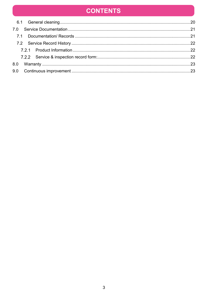#### **CONTENTS**

| 8.0 |  |  |
|-----|--|--|
|     |  |  |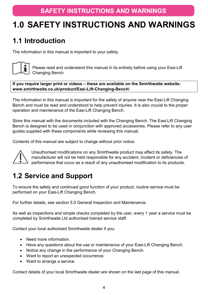# <span id="page-3-0"></span>**1.0 SAFETY INSTRUCTIONS AND WARNINGS**

## <span id="page-3-1"></span>**1.1 Introduction**

The information in this manual is important to your safety.



Please read and understand this manual in its entirety before using your Easi-Lift Changing Bench.

**If you require larger print or videos – these are available on the Smirthwaite website: www.smirthwaite.co.uk/product/Easi-Lift-Changing-Bench/**

The information in this manual is important for the safety of anyone near the Easi-Lift Changing Bench and must be read and understood to help prevent injuries. It is also crucial to the proper operation and maintenance of the Easi-Lift Changing Bench.

Store this manual with the documents included with the Changing Bench. The Easi-Lift Changing Bench is designed to be used in conjunction with approved accessories. Please refer to any user guides supplied with these components while reviewing this manual.

Contents of this manual are subject to change without prior notice.



Unauthorised modifications on any Smirthwaite product may affect its safety. The manufacturer will not be held responsible for any accident, incident or deficiencies of performance that occur as a result of any unauthorised modification to its products.

## <span id="page-3-2"></span>**1.2 Service and Support**

To ensure the safety and continued good function of your product, routine service must be performed on your Easi-Lift Changing Bench.

For further details, see section [5.0](#page-17-0) [General Inspection and Maintenance.](#page-17-0)

As well as inspections and simple checks completed by the user, every 1 year a service must be completed by Smirthwaite Ltd authorised trained service staff.

Contact your local authorised Smirthwaite dealer if you:

- Need more information.
- Have any questions about the use or maintenance of your Easi-Lift Changing Bench.
- Notice any change in the performance of your Changing Bench.
- Want to report an unexpected occurrence.
- Want to arrange a service.

Contact details of your local Smirthwaite dealer are shown on the last page of this manual.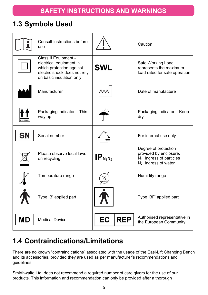#### <span id="page-4-0"></span>**1.3 Symbols Used**

|                   | <b>Consult instructions before</b><br>use                                                                                               |                  | Caution                                                                                                                      |
|-------------------|-----------------------------------------------------------------------------------------------------------------------------------------|------------------|------------------------------------------------------------------------------------------------------------------------------|
|                   | Class II Equipment -<br>electrical equipment in<br>which protection against<br>electric shock does not rely<br>on basic insulation only | <b>SWL</b>       | Safe Working Load<br>represents the maximum<br>load rated for safe operation                                                 |
|                   | Manufacturer                                                                                                                            |                  | Date of manufacture                                                                                                          |
| <b>THIS WAY L</b> | Packaging indicator - This<br>way up                                                                                                    |                  | Packaging indicator - Keep<br>dry                                                                                            |
| <b>SN</b>         | Serial number                                                                                                                           |                  | For internal use only                                                                                                        |
|                   | Please observe local laws<br>on recycling                                                                                               | $IP_{N_1N_2}$    | Degree of protection<br>provided by enclosure.<br>N <sub>1</sub> : Ingress of particles<br>N <sub>2</sub> : Ingress of water |
|                   | Temperature range                                                                                                                       | %                | Humidity range                                                                                                               |
|                   | Type 'B' applied part                                                                                                                   |                  | Type 'BF' applied part                                                                                                       |
| <b>MD</b>         | <b>Medical Device</b>                                                                                                                   | EC<br><b>REP</b> | Authorised representative in<br>the European Community                                                                       |

## <span id="page-4-1"></span>**1.4 Contraindications/Limitations**

There are no known "contraindications" associated with the usage of the Easi-Lift Changing Bench and its accessories, provided they are used as per manufacturer's recommendations and guidelines.

Smirthwaite Ltd. does not recommend a required number of care givers for the use of our products. This information and recommendation can only be provided after a thorough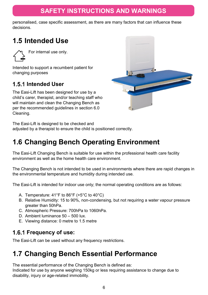#### **SAFETY INSTRUCTIONS AND WARNINGS**

personalised, case specific assessment, as there are many factors that can influence these decisions.

#### <span id="page-5-0"></span>**1.5 Intended Use**



For internal use only.

Intended to support a recumbent patient for changing purposes

#### <span id="page-5-1"></span>**1.5.1 Intended User**

The Easi-Lift has been designed for use by a child's carer, therapist, and/or teaching staff who will maintain and clean the Changing Bench as per the recommended guidelines in section [6.0](#page-19-1) [Cleaning.](#page-19-1)



The Easi-Lift is designed to be checked and adjusted by a therapist to ensure the child is positioned correctly.

## <span id="page-5-2"></span>**1.6 Changing Bench Operating Environment**

The Easi-Lift Changing Bench is suitable for use within the professional health care facility environment as well as the home health care environment.

The Changing Bench is not intended to be used in environments where there are rapid changes in the environmental temperature and humidity during intended use.

The Easi-Lift is intended for indoor use only; the normal operating conditions are as follows:

- A. Temperature: 41°F to 86°F (+5°C to 40°C)
- B. Relative Humidity: 15 to 90%, non-condensing, but not requiring a water vapour pressure greater than 50hPa.
- C. Atmospheric Pressure: 700hPa to 1060hPa.
- D. Ambient luminance 50 500 lux.
- <span id="page-5-3"></span>E. Viewing distance: 0 metre to 1.5 metre

#### **Frequency of use:**

<span id="page-5-4"></span>The Easi-Lift can be used without any frequency restrictions.

#### **1.7 Changing Bench Essential Performance**

The essential performance of the Changing Bench is defined as:

Indicated for use by anyone weighing 150kg or less requiring assistance to change due to disability, injury or age-related immobility.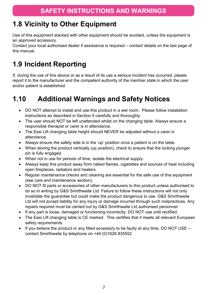## <span id="page-6-0"></span>**1.8 Vicinity to Other Equipment**

Use of this equipment stacked with other equipment should be avoided, unless the equipment is an approved accessory.

Contact your local authorised dealer if assistance is required – contact details on the last page of this manual.

## <span id="page-6-1"></span>**1.9 Incident Reporting**

If, during the use of this device or as a result of its use a serious incident has occurred, please report it to the manufacturer and the competent authority of the member state in which the user and/or patient is established.

## <span id="page-6-2"></span>**1.10 Additional Warnings and Safety Notices**

- DO NOT attempt to install and use this product in a wet room. Please follow installation instructions as described in Section 5 carefully and thoroughly.
- The user should NOT be left unattended whilst on the changing table. Always ensure a responsible therapist or carer is in attendance.
- The Easi Lift changing table height should NEVER be adjusted without a carer in attendance.
- Always ensure the safety side is in the 'up' position once a patient is on the table.
- When storing the product vertically (up position), check to ensure that the locking plunger pin is fully engaged.
- When not in use for periods of time, isolate the electrical supply.
- Always keep this product away from naked flames, cigarettes and sources of heat including open fireplaces, radiators and heaters.
- Regular maintenance checks and cleaning are essential for the safe use of this equipment (see care and maintenance section).
- DO NOT fit parts or accessories of other manufacturers to this product unless authorised to do so in writing by G&S Smirthwaite Ltd. Failure to follow these instructions will not only invalidate the guarantee but could make the product dangerous to use. G&S Smirthwaite Ltd will not accept liability for any injury or damage incurred through such malpractices. Any repairs required must be carried out by G&S Smirthwaite Ltd authorised personnel.
- If any part is loose, damaged or functioning incorrectly, DO NOT use until rectified.
- The Easi Lift changing table is CE marked. This certifies that it meets all relevant European safety requirements.
- If you believe the product or any fitted accessory to be faulty at any time, DO NOT USE contact Smirthwaite by telephone on +44 (0)1626 835552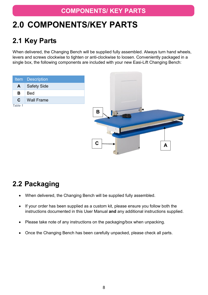#### **COMPONENTS/ KEY PARTS**

# <span id="page-7-0"></span>**2.0 COMPONENTS/KEY PARTS**

## <span id="page-7-1"></span>**2.1 Key Parts**

When delivered, the Changing Bench will be supplied fully assembled. Always turn hand wheels, levers and screws clockwise to tighten or anti-clockwise to loosen. Conveniently packaged in a single box, the following components are included with your new Easi-Lift Changing Bench:



## <span id="page-7-2"></span>**2.2 Packaging**

- When delivered, the Changing Bench will be supplied fully assembled.
- If your order has been supplied as a custom kit, please ensure you follow both the instructions documented in this User Manual **and** any additional instructions supplied.
- Please take note of any instructions on the packaging/box when unpacking.
- Once the Changing Bench has been carefully unpacked, please check all parts.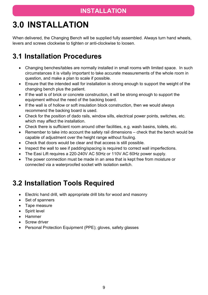# <span id="page-8-0"></span>**3.0 INSTALLATION**

When delivered, the Changing Bench will be supplied fully assembled. Always turn hand wheels, levers and screws clockwise to tighten or anti-clockwise to loosen.

#### <span id="page-8-1"></span>**3.1 Installation Procedures**

- Changing benches/tables are normally installed in small rooms with limited space. In such circumstances it is vitally important to take accurate measurements of the whole room in question, and make a plan to scale if possible.
- Ensure that the intended wall for installation is strong enough to support the weight of the changing bench plus the patient.
- If the wall is of brick or concrete construction, it will be strong enough to support the equipment without the need of the backing board.
- If the wall is of hollow or soft insulation block construction, then we would always recommend the backing board is used.
- Check for the position of dado rails, window sills, electrical power points, switches, etc. which may affect the installation.
- Check there is sufficient room around other facilities, e.g. wash basins, toilets, etc.
- Remember to take into account the safety rail dimensions check that the bench would be capable of adjustment over the height range without fouling.
- Check that doors would be clear and that access is still possible.
- Inspect the wall to see if padding/spacing is required to correct wall imperfections.
- The Easi Lift requires a 220-240V AC 50Hz or 110V AC 60Hz power supply.
- The power connection must be made in an area that is kept free from moisture or connected via a waterproofed socket with isolation switch.

## <span id="page-8-2"></span>**3.2 Installation Tools Required**

- Electric hand drill, with appropriate drill bits for wood and masonry
- Set of spanners
- Tape measure
- Spirit level
- Hammer
- Screw driver
- Personal Protection Equipment (PPE); gloves, safety glasses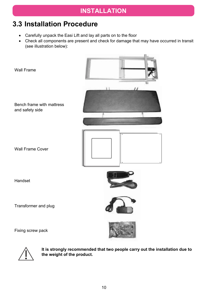#### <span id="page-9-0"></span>**3.3 Installation Procedure**

- Carefully unpack the Easi Lift and lay all parts on to the floor
- Check all components are present and check for damage that may have occurred in transit (see illustration below):





**It is strongly recommended that two people carry out the installation due to the weight of the product.**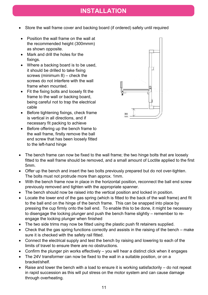- Store the wall frame cover and backing board (if ordered) safely until required
- Position the wall frame on the wall at the recommended height (300mmm) as shown opposite.
- Mark and drill the holes for the fixings.
- Where a backing board is to be used, it should be drilled to take fixing screws (minimum 8) – check the screws do not interfere with the wall frame when mounted.
- Fit the fixing bolts and loosely fit the frame to the wall or backing board, being careful not to trap the electrical cable
- Before tightening fixings, check frame is vertical in all directions, and if necessary fit packing to achieve
- Before offering up the bench frame to the wall frame, firstly remove the ball end screw that has been loosely fitted to the left-hand hinge



- The bench frame can now be fixed to the wall frame; the two hinge bolts that are loosely fitted to the wall frame should be removed, and a small amount of Loctite applied to the first 5mm.
- Offer up the bench and insert the two bolts previously prepared but do not over-tighten. The bolts must not protrude more than approx. 1mm.
- With the bench frame now in place in the horizontal position, reconnect the ball end screw previously removed and tighten with the appropriate spanner.
- The bench should now be raised into the vertical position and locked in position.
- Locate the lower end of the gas spring (which is fitted to the back of the wall frame) and fit to the ball end on the hinge of the bench frame. This can be snapped into place by pressing the cup firmly onto the ball end. To enable this to be done, it might be necessary to disengage the locking plunger and push the bench frame slightly – remember to reengage the locking plunger when finished
- The two side trims may now be fitted using the plastic push fit retainers supplied.
- Check that the gas spring functions correctly and assists in the raising of the bench make sure it is checked with the safety rail fitted.
- Connect the electrical supply and test the bench by raising and lowering to each of the limits of travel to ensure there are no obstructions.
- Confirm the plunger pin works effectively you will hear a distinct click when it engages
- The 24V transformer can now be fixed to the wall in a suitable position, or on a bracket/shelf.
- Raise and lower the bench with a load to ensure it is working satisfactorily do not repeat in rapid succession as this will put stress on the motor system and can cause damage through overheating.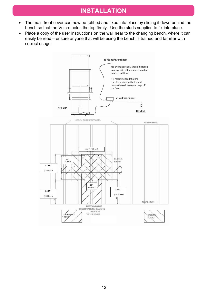- The main front cover can now be refitted and fixed into place by sliding it down behind the bench so that the Velcro holds the top firmly. Use the studs supplied to fix into place.
- Place a copy of the user instructions on the wall near to the changing bench, where it can easily be read – ensure anyone that will be using the bench is trained and familiar with correct usage.

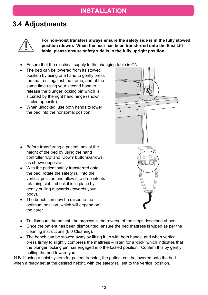#### <span id="page-12-0"></span>**3.4 Adjustments**



**For non-hoist transfers always ensure the safety side is in the fully stowed position (down). When the user has been transferred onto the Easi Lift table, please ensure safety side is in the fully upright position.**

- Ensure that the electrical supply to the changing table is ON
- The bed can be lowered from its stowed position by using one hand to gently press the mattress against the frame, and at the same time using your second hand to release the plunger locking pin which is situated by the right hand hinge (shown circled opposite).
- When unlocked, use both hands to lower the bed into the horizontal position.

- Before transferring a patient, adjust the height of the bed by using the hand controller 'Up' and 'Down' buttons/arrows, as shown opposite.
- With the patient safely transferred onto the bed, rotate the safety rail into the vertical position and allow it to drop into its retaining slot – check it is in place by gently pulling outwards (towards your body).
- The bench can now be raised to the optimum position, which will depend on the carer
- To dismount the patient, the process is the reverse of the steps described above
- Once the patient has been dismounted, ensure the bed mattress is wiped as per the cleaning instructions [\(6.0](#page-19-1) [Cleaning\)](#page-19-1).
- The bench can be stowed away by lifting it up with both hands, and when vertical press firmly to slightly compress the mattress – listen for a 'click' which indicates that the plunger locking pin has engaged into the locked position. Confirm this by gently pulling the bed toward you.

N.B. If using a hoist system for patient transfer, the patient can be lowered onto the bed when already set at the desired height, with the safety rail set to the vertical position.

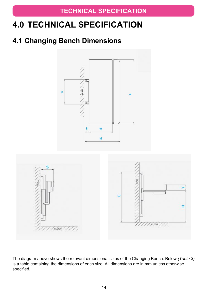**TECHNICAL SPECIFICATION**

# <span id="page-13-0"></span>**4.0 TECHNICAL SPECIFICATION**

## <span id="page-13-1"></span>**4.1 Changing Bench Dimensions**



The diagram above shows the relevant dimensional sizes of the Changing Bench. Below *(Table 3)* is a table containing the dimensions of each size. All dimensions are in mm unless otherwise specified.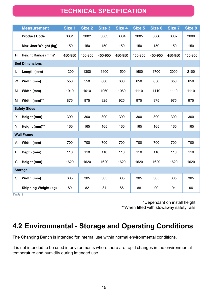#### **TECHNICAL SPECIFICATION**

|                     | <b>Measurement</b>          | Size 1  | Size 2  | Size 3  | Size <sub>4</sub> | Size 5  | Size 6  | Size 7  | Size 8  |
|---------------------|-----------------------------|---------|---------|---------|-------------------|---------|---------|---------|---------|
|                     | <b>Product Code</b>         | 3081    | 3082    | 3083    | 3084              | 3085    | 3086    | 3087    | 3088    |
|                     | Max User Weight (kg)        | 150     | 150     | 150     | 150               | 150     | 150     | 150     | 150     |
| н                   | Height Range (mm)*          | 450-950 | 450-950 | 450-950 | 450-950           | 450-950 | 450-950 | 450-950 | 450-950 |
|                     | <b>Bed Dimensions</b>       |         |         |         |                   |         |         |         |         |
| L                   | Length (mm)                 | 1200    | 1300    | 1400    | 1500              | 1600    | 1700    | 2000    | 2100    |
| W                   | Width (mm)                  | 550     | 550     | 600     | 600               | 650     | 650     | 650     | 650     |
| M                   | Width (mm)                  | 1010    | 1010    | 1060    | 1060              | 1110    | 1110    | 1110    | 1110    |
| M                   | Width (mm)**                | 875     | 875     | 925     | 925               | 975     | 975     | 975     | 975     |
| <b>Safety Sides</b> |                             |         |         |         |                   |         |         |         |         |
| Y                   | Height (mm)                 | 300     | 300     | 300     | 300               | 300     | 300     | 300     | 300     |
| Y                   | Height (mm)**               | 165     | 165     | 165     | 165               | 165     | 165     | 165     | 165     |
| <b>Wall Frame</b>   |                             |         |         |         |                   |         |         |         |         |
| A                   | Width (mm)                  | 700     | 700     | 700     | 700               | 700     | 700     | 700     | 700     |
| B                   | Depth (mm)                  | 110     | 110     | 110     | 110               | 110     | 110     | 110     | 110     |
| $\mathsf{C}$        | Height (mm)                 | 1620    | 1620    | 1620    | 1620              | 1620    | 1620    | 1620    | 1620    |
| <b>Storage</b>      |                             |         |         |         |                   |         |         |         |         |
| S                   | Width (mm)                  | 305     | 305     | 305     | 305               | 305     | 305     | 305     | 305     |
|                     | <b>Shipping Weight (kg)</b> | 80      | 82      | 84      | 86                | 88      | 90      | 94      | 96      |

*Table 3*

\*Dependant on install height \*\*When fitted with stowaway safety rails

#### <span id="page-14-0"></span>**4.2 Environmental - Storage and Operating Conditions**

The Changing Bench is intended for internal use within normal environmental conditions.

It is not intended to be used in environments where there are rapid changes in the environmental temperature and humidity during intended use.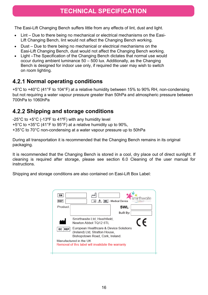The Easi-Lift Changing Bench suffers little from any effects of lint, dust and light.

- Lint Due to there being no mechanical or electrical mechanisms on the Easi-Lift Changing Bench, lint would not affect the Changing Bench working.
- Dust Due to there being no mechanical or electrical mechanisms on the Easi-Lift Changing Bench, dust would not affect the Changing Bench working.
- Light –The Specification of the Changing Bench dictates that normal use would occur during ambient luminance 50 – 500 lux. Additionally, as the Changing Bench is designed for indoor use only, if required the user may wish to switch on room lighting.

#### <span id="page-15-0"></span>**4.2.1 Normal operating conditions**

+5°C to +40°C (41°F to 104°F) at a relative humidity between 15% to 90% RH, non-condensing but not requiring a water vapour pressure greater than 50hPa and atmospheric pressure between 700hPa to 1060hPa

#### <span id="page-15-1"></span>**Shipping and storage conditions**

-25°C to +5°C (-13ºF to 41ºF) with any humidity level +5°C to +35°C (41°F to 95°F) at a relative humidity up to 90%, +35°C to 70°C non-condensing at a water vapour pressure up to 50hPa

During all transportation it is recommended that the Changing Bench remains in its original packaging.

It is recommended that the Changing Bench is stored in a cool, dry place out of direct sunlight. If cleaning is required after storage, please see section [6.0](#page-19-1) [Cleaning](#page-19-1) of the user manual for instructions.

Shipping and storage conditions are also contained on Easi-Lift Box Label:

| SΝ<br><b>REF</b>                                                                                                                 | - Medical Device                                      |  |  |  |  |
|----------------------------------------------------------------------------------------------------------------------------------|-------------------------------------------------------|--|--|--|--|
| Product:                                                                                                                         | <b>SWL</b>                                            |  |  |  |  |
|                                                                                                                                  | <b>Built By:</b>                                      |  |  |  |  |
|                                                                                                                                  | Smirthwaite Ltd, Heathfield,<br>Newton Abbot TQ12 6TL |  |  |  |  |
| European Healthcare & Device Solutions<br><b>REP</b><br>EC<br>(Ireland) Ltd, Stratton House,<br>Bishopstown Road, Cork, Ireland. |                                                       |  |  |  |  |
| Manufactured in the UK<br>Removal of this label will invalidate the warranty                                                     |                                                       |  |  |  |  |
|                                                                                                                                  |                                                       |  |  |  |  |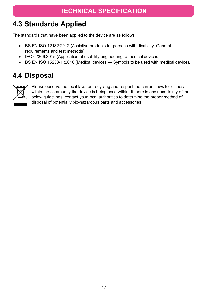#### **TECHNICAL SPECIFICATION**

## <span id="page-16-0"></span>**4.3 Standards Applied**

The standards that have been applied to the device are as follows:

- BS EN ISO 12182:2012 (Assistive products for persons with disability. General requirements and test methods).
- IEC 62366:2015 (Application of usability engineering to medical devices).
- <span id="page-16-1"></span>• BS EN ISO 15233-1 :2016 (Medical devices — Symbols to be used with medical device).

#### **4.4 Disposal**



Please observe the local laws on recycling and respect the current laws for disposal within the community the device is being used within. If there is any uncertainty of the below guidelines, contact your local authorities to determine the proper method of disposal of potentially bio-hazardous parts and accessories.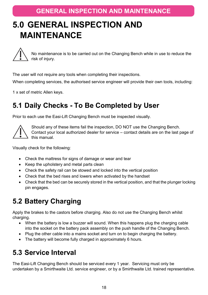## <span id="page-17-0"></span>**5.0 GENERAL INSPECTION AND MAINTENANCE**



No maintenance is to be carried out on the Changing Bench while in use to reduce the risk of injury.

The user will not require any tools when completing their inspections.

When completing services, the authorised service engineer will provide their own tools, including:

<span id="page-17-1"></span>1 x set of metric Allen keys.

## **5.1 Daily Checks - To Be Completed by User**

Prior to each use the Easi-Lift Changing Bench must be inspected visually.



Should any of these items fail the inspection, DO NOT use the Changing Bench. Contact your local authorized dealer for service – contact details are on the last page of this manual.

Visually check for the following:

- Check the mattress for signs of damage or wear and tear
- Keep the upholstery and metal parts clean
- Check the safety rail can be stowed and locked into the vertical position
- Check that the bed rises and lowers when activated by the handset
- Check that the bed can be securely stored in the vertical position, and that the plunger locking pin engages.

## <span id="page-17-2"></span>**5.2 Battery Charging**

Apply the brakes to the castors before charging. Also do not use the Changing Bench whilst charging.

- When the battery is low a buzzer will sound. When this happens plug the charging cable into the socket on the battery pack assembly on the push handle of the Changing Bench.
- Plug the other cable into a mains socket and turn on to begin charging the battery.
- <span id="page-17-3"></span>• The battery will become fully charged in approximately 6 hours.

#### **5.3 Service Interval**

The Easi-Lift Changing Bench should be serviced every 1 year. Servicing must only be undertaken by a Smirthwaite Ltd. service engineer, or by a Smirthwaite Ltd. trained representative.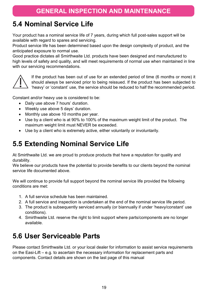#### <span id="page-18-0"></span>**5.4 Nominal Service Life**

Your product has a nominal service life of 7 years, during which full post-sales support will be available with regard to spares and servicing.

Product service life has been determined based upon the design complexity of product, and the anticipated exposure to normal use.

Good practice dictates all Smirthwaite Ltd. products have been designed and manufactured to high levels of safety and quality, and will meet requirements of normal use when maintained in line with our servicing recommendations.



If the product has been out of use for an extended period of time (6 months or more) it should always be serviced prior to being reissued. If the product has been subjected to 'heavy' or 'constant' use, the service should be reduced to half the recommended period.

Constant and/or heavy use is considered to be:

- Daily use above 7 hours' duration.
- Weekly use above 5 days' duration.
- Monthly use above 10 months per year.
- Use by a client who is at 90% to 100% of the maximum weight limit of the product. The maximum weight limit must NEVER be exceeded.
- <span id="page-18-1"></span>• Use by a client who is extremely active, either voluntarily or involuntarily.

#### **5.5 Extending Nominal Service Life**

At Smirthwaite Ltd. we are proud to produce products that have a reputation for quality and durability.

We believe our products have the potential to provide benefits to our clients beyond the nominal service life documented above.

We will continue to provide full support beyond the nominal service life provided the following conditions are met:

- 1. A full service schedule has been maintained.
- 2. A full service and inspection is undertaken at the end of the nominal service life period.
- 3. The product is subsequently serviced annually (or biannually if under 'heavy/constant' use conditions).
- <span id="page-18-2"></span>4. Smirthwaite Ltd. reserve the right to limit support where parts/components are no longer available.

#### **5.6 User Serviceable Parts**

Please contact Smirthwaite Ltd. or your local dealer for information to assist service requirements on the Easi-Lift – e.g. to ascertain the necessary information for replacement parts and components. Contact details are shown on the last page of this manual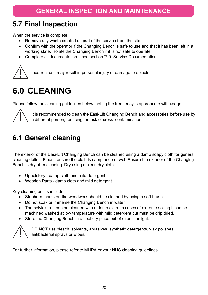## <span id="page-19-0"></span>**5.7 Final Inspection**

When the service is complete:

- Remove any waste created as part of the service from the site.
- Confirm with the operator if the Changing Bench is safe to use and that it has been left in a working state. Isolate the Changing Bench if it is not safe to operate.
- Complete all documentation see section ['7.0](#page-20-2) [Service Documentation.](#page-20-2)'



Incorrect use may result in personal injury or damage to objects

## <span id="page-19-1"></span>**6.0 CLEANING**

Please follow the cleaning guidelines below; noting the frequency is appropriate with usage.



It is recommended to clean the Easi-Lift Changing Bench and accessories before use by a different person, reducing the risk of cross–contamination.

## <span id="page-19-2"></span>**6.1 General cleaning**

The exterior of the Easi-Lift Changing Bench can be cleaned using a damp soapy cloth for general cleaning duties. Please ensure the cloth is damp and not wet. Ensure the exterior of the Changing Bench is dry after cleaning. Dry using a clean dry cloth.

- Upholstery damp cloth and mild detergent.
- Wooden Parts damp cloth and mild detergent.

Key cleaning points include;

- Stubborn marks on the woodwork should be cleaned by using a soft brush.
- Do not soak or immerse the Changing Bench in water.
- The pelvic strap can be cleaned with a damp cloth. In cases of extreme soiling it can be machined washed at low temperature with mild detergent but must be drip dried.
- Store the Changing Bench in a cool dry place out of direct sunlight.



DO NOT use bleach, solvents, abrasives, synthetic detergents, wax polishes, antibacterial sprays or wipes.

For further information, please refer to MHRA or your NHS cleaning guidelines.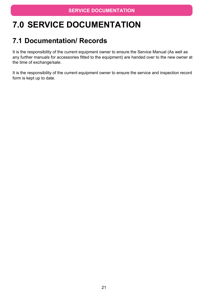# <span id="page-20-2"></span><span id="page-20-0"></span>**7.0 SERVICE DOCUMENTATION**

#### <span id="page-20-1"></span>**7.1 Documentation/ Records**

It is the responsibility of the current equipment owner to ensure the Service Manual (As well as any further manuals for accessories fitted to the equipment) are handed over to the new owner at the time of exchange/sale.

It is the responsibility of the current equipment owner to ensure the service and inspection record form is kept up to date.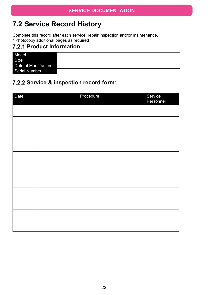#### <span id="page-21-0"></span>**7.2 Service Record History**

Complete this record after each service, repair inspection and/or maintenance. \* Photocopy additional pages as required \*

#### <span id="page-21-1"></span>**Product Information**

| Model                |  |
|----------------------|--|
| Size                 |  |
| Date of Manufacture  |  |
| <b>Serial Number</b> |  |

#### <span id="page-21-2"></span>**7.2.2 Service & inspection record form:**

| Date | Procedure | Service<br>Personnel |
|------|-----------|----------------------|
|      |           |                      |
|      |           |                      |
|      |           |                      |
|      |           |                      |
|      |           |                      |
|      |           |                      |
|      |           |                      |
|      |           |                      |
|      |           |                      |
|      |           |                      |
|      |           |                      |
|      |           |                      |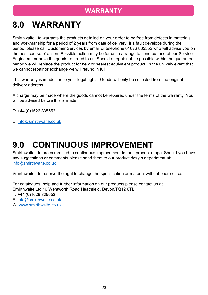#### **WARRANTY**

# <span id="page-22-0"></span>**8.0 WARRANTY**

Smirthwaite Ltd warrants the products detailed on your order to be free from defects in materials and workmanship for a period of 2 years from date of delivery. If a fault develops during the period, please call Customer Services by email or telephone 01626 835552 who will advise you on the best course of action. Possible action may be for us to arrange to send out one of our Service Engineers, or have the goods returned to us. Should a repair not be possible within the guarantee period we will replace the product for new or nearest equivalent product. In the unlikely event that we cannot repair or exchange we will refund in full.

This warranty is in addition to your legal rights. Goods will only be collected from the original delivery address.

A charge may be made where the goods cannot be repaired under the terms of the warranty. You will be advised before this is made.

T: +44 (0)1626 835552

E: [info@smirthwaite.co.uk](mailto:info@smirthwaite.co.uk)

## <span id="page-22-1"></span>**9.0 CONTINUOUS IMPROVEMENT**

Smirthwaite Ltd are committed to continuous improvement to their product range. Should you have any suggestions or comments please send them to our product design department at: [info@smirthwaite.co.uk](mailto:info@smirthwaite.co.uk)

Smirthwaite Ltd reserve the right to change the specification or material without prior notice.

For catalogues, help and further information on our products please contact us at: Smirthwaite Ltd 16 Wentworth Road Heathfield, Devon.TQ12 6TL T: +44 (0)1626 835552 E: [info@smirthwaite.co.uk](mailto:info@smirthwaite.co.uk) W: [www.smirthwaite.co.uk](http://www.smirthwaite.co.uk/)